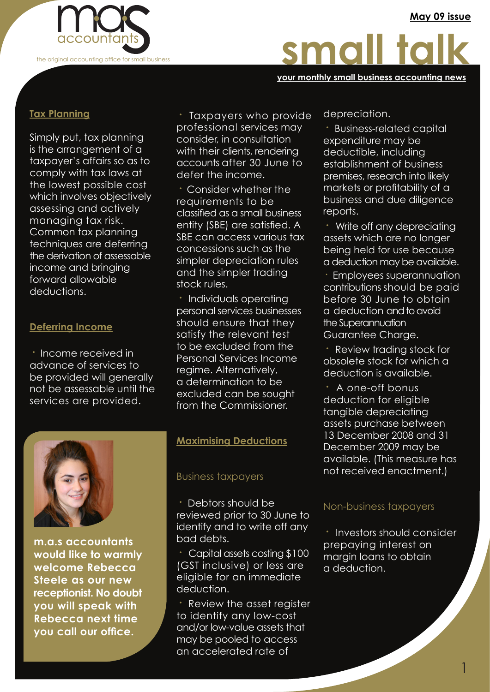**May 09 issue**



# small talk

#### **your monthly small business accounting news**

#### **Tax Planning**

Simply put, tax planning is the arrangement of a taxpayer's affairs so as to comply with tax laws at the lowest possible cost which involves objectively assessing and actively managing tax risk. Common tax planning techniques are deferring the derivation of assessable income and bringing forward allowable deductions.

#### **Deferring Income**

**·** Income received in advance of services to be provided will generally not be assessable until the services are provided.

**·** Taxpayers who provide professional services may consider, in consultation with their clients, rendering accounts after 30 June to defer the income.

**·** Consider whether the requirements to be classified as a small business entity (SBE) are satisfied. A SBE can access various tax concessions such as the simpler depreciation rules and the simpler trading stock rules.

**·** Individuals operating personal services businesses should ensure that they satisfy the relevant test to be excluded from the Personal Services Income regime. Alternatively, a determination to be excluded can be sought from the Commissioner.



**m.a.s accountants would like to warmly welcome Rebecca Steele as our new receptionist. No doubt you will speak with Rebecca next time you call our office.**

#### **Maximising Deductions**

#### Business taxpayers

**·** Debtors should be reviewed prior to 30 June to identify and to write off any bad debts.

**·** Capital assets costing \$100 (GST inclusive) or less are eligible for an immediate deduction.

**·** Review the asset register to identify any low-cost and/or low-value assets that may be pooled to access an accelerated rate of

depreciation.

**·** Business-related capital expenditure may be deductible, including establishment of business premises, research into likely markets or profitability of a business and due diligence reports.

**·** Write off any depreciating assets which are no longer being held for use because a deduction may be available.

. the Superannuation Employees superannuation contributions should be paid before 30 June to obtain a deduction and to avoid Guarantee Charge.

**Review trading stock for** obsolete stock for which a deduction is available.

**·** A one-off bonus deduction for eligible tangible depreciating assets purchase between 13 December 2008 and 31 December 2009 may be available. (This measure has not received enactment.)

#### Non-business taxpayers

**·** Investors should consider prepaying interest on margin loans to obtain a deduction.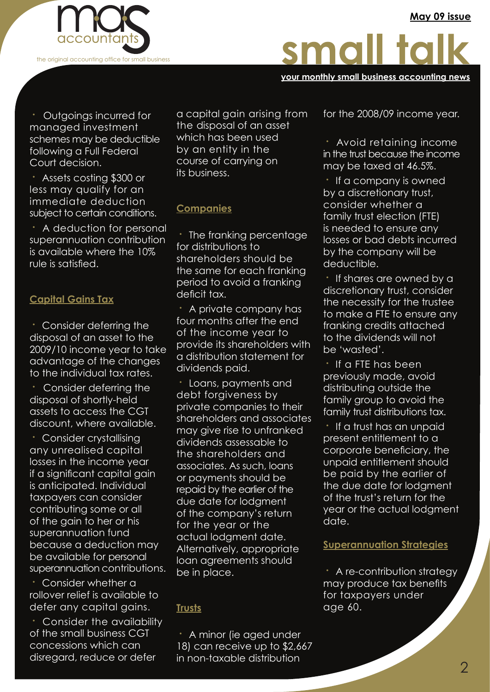

# small talk

**your monthly small business accounting news**

**·** Outgoings incurred for managed investment schemes may be deductible following a Full Federal Court decision.

**·** Assets costing \$300 or less may qualify for an immediate deduction subject to certain conditions.

**·** A deduction for personal superannuation contribution is available where the 10% rule is satisfied.

# **Capital Gains Tax**

**·** Consider deferring the disposal of an asset to the 2009/10 income year to take advantage of the changes to the individual tax rates.

**·** Consider deferring the disposal of shortly-held assets to access the CGT discount, where available.

**·** Consider crystallising any unrealised capital losses in the income year if a significant capital gain is anticipated. Individual taxpayers can consider contributing some or all of the gain to her or his superannuation fund because a deduction may be available for personal superannuation contributions.

**·** Consider whether a rollover relief is available to defer any capital gains.

**·** Consider the availability of the small business CGT concessions which can disregard, reduce or defer

a capital gain arising from the disposal of an asset which has been used by an entity in the course of carrying on its business.

# **Companies**

**·** The franking percentage for distributions to shareholders should be the same for each franking period to avoid a franking deficit tax.

**·** A private company has four months after the end of the income year to provide its shareholders with a distribution statement for dividends paid.

**·** Loans, payments and debt forgiveness by private companies to their shareholders and associates may give rise to unfranked dividends assessable to the shareholders and associates. As such, loans or payments should be repaid by the earlier of the due date for lodgment of the company's return for the year or the actual lodgment date. Alternatively, appropriate loan agreements should be in place.

# **Trusts**

**·** A minor (ie aged under 18) can receive up to \$2,667 in non-taxable distribution

for the 2008/09 income year.

**·** Avoid retaining income in the trust because the income may be taxed at 46.5%.

**·** If a company is owned by a discretionary trust, consider whether a family trust election (FTE) is needed to ensure any losses or bad debts incurred by the company will be deductible.

. franking credits attached **·** If shares are owned by a discretionary trust, consider the necessity for the trustee to make a FTE to ensure any to the dividends will not be 'wasted'.

**·** If a FTE has been previously made, avoid distributing outside the family group to avoid the family trust distributions tax.

**·** If a trust has an unpaid present entitlement to a corporate beneficiary, the unpaid entitlement should be paid by the earlier of the due date for lodgment of the trust's return for the year or the actual lodgment date.

#### **Superannuation Strategies**

**·** A re-contribution strategy may produce tax benefits for taxpayers under age 60.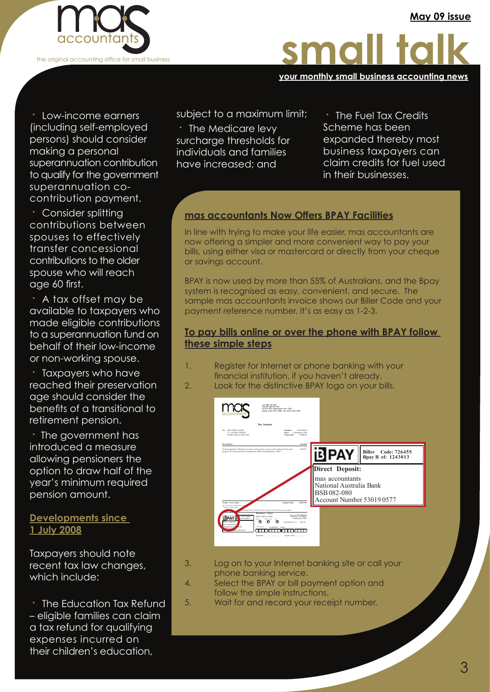

**your monthly small business accounting news**

**·** Low-income earners (including self-employed persons) should consider making a personal superannuation contribution to qualify for the government superannuation cocontribution payment.

**·** Consider splitting contributions between spouses to effectively transfer concessional contributions to the older spouse who will reach age 60 first.

**·** A tax offset may be available to taxpayers who made eligible contributions to a superannuation fund on behalf of their low-income or non-working spouse.

**·** Taxpayers who have reached their preservation age should consider the benefits of a transitional to retirement pension.

**·** The government has introduced a measure allowing pensioners the option to draw half of the year's minimum required pension amount.

# **Developments since 1 July 2008**

Taxpayers should note recent tax law changes, which include:

**·** The Education Tax Refund – eligible families can claim a tax refund for qualifying expenses incurred on their children's education,

subject to a maximum limit;

**·** The Medicare levy surcharge thresholds for individuals and families have increased; and

**·** The Fuel Tax Credits Scheme has been expanded thereby most business taxpayers can claim credits for fuel used in their businesses.

# **mas accountants Now Offers BPAY Facilities**

In line with trying to make your life easier, mas accountants are now offering a simpler and more convenient way to pay your bills, using either visa or mastercard or directly from your cheque or savings account.

BPAY is now used by more than 55% of Australians, and the Bpay system is recognised as easy, convenient, and secure. The sample mas accountants invoice shows our Biller Code and your payment reference number. It's as easy as 1-2-3.

# . **To pay bills online or over the phone with BPAY follow these simple steps**

- 1. Register for Internet or phone banking with your financial institution, if you haven't already.
- 2. Look for the distinctive BPAY logo on your bills.



- 3. Log on to your Internet banking site or call your phone banking service.
- 4. Select the BPAY or bill payment option and follow the simple instructions.
- 5. Wait for and record your receipt number.